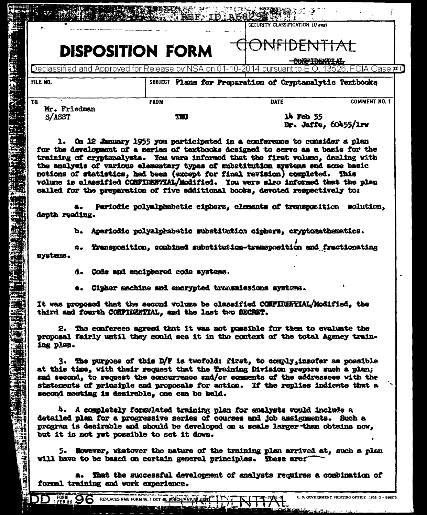| FILE NO.<br>TO<br>Mr. Friedman<br>S/ASST                | Declassified and Approved for Release by NSA on 01-10-2014 pursuant to E.O.<br><b>FROM</b>                                                                                                                                                                                                                                                                                                                                                                                          |                                       | <u>13526. FOIA Case # 0</u>                              |  |  |  |
|---------------------------------------------------------|-------------------------------------------------------------------------------------------------------------------------------------------------------------------------------------------------------------------------------------------------------------------------------------------------------------------------------------------------------------------------------------------------------------------------------------------------------------------------------------|---------------------------------------|----------------------------------------------------------|--|--|--|
|                                                         |                                                                                                                                                                                                                                                                                                                                                                                                                                                                                     |                                       | SUBJECT Plans for Preparation of Cryptanalytic Textbooks |  |  |  |
|                                                         |                                                                                                                                                                                                                                                                                                                                                                                                                                                                                     | <b>DATE</b>                           | <b>COMMENT NO. 1</b>                                     |  |  |  |
|                                                         | m                                                                                                                                                                                                                                                                                                                                                                                                                                                                                   | $14$ Feb $55$<br>Dr. Jaffe, 60455/1rw |                                                          |  |  |  |
| a.<br>depth reading.                                    | the analysis of various elementary types of substitution systems and some basic<br>notions of statistics, had been (except for final revision) completed. This<br>volume is classified COMFIDENTIAL/Modified. You were also informed that the plan<br>called for the preparation of five additional books, devoted respectively to:<br>Periodic polyalphabetic ciphers, elements of transposition solution,<br>b. Aperiodic polyalphabetic substitution ciphers, cryptomathematics. |                                       |                                                          |  |  |  |
| systems.                                                | c. Transposition, combined substitution-transposition and fractionating<br>d. Code and enciphered code systems.                                                                                                                                                                                                                                                                                                                                                                     |                                       |                                                          |  |  |  |
|                                                         | Cisher sechine and encrypted transmissions systems.                                                                                                                                                                                                                                                                                                                                                                                                                                 |                                       |                                                          |  |  |  |
| third and fourth CONFIDENTIAL, and the last two SECRET. | It was proposed that the second volume be classified CONFIDENTIAL/Modified, the                                                                                                                                                                                                                                                                                                                                                                                                     |                                       |                                                          |  |  |  |
|                                                         |                                                                                                                                                                                                                                                                                                                                                                                                                                                                                     |                                       |                                                          |  |  |  |
| ing plan.                                               | 2. The conferees agreed that it was not possible for them to evaluate the<br>proposal fairly until they could see it in the context of the total Agency train-                                                                                                                                                                                                                                                                                                                      |                                       |                                                          |  |  |  |
|                                                         | 3. The purpose of this D/F is twofold: first, to comply, insofar as possible<br>at this time, with their request that the Training Division prepare such a plan;<br>and second, to request the concurrence and/or comments of the addressees with the<br>statements of principle and proposals for action. If the replies indicate that a<br>second meeting is desirable, one can be held.                                                                                          |                                       |                                                          |  |  |  |
|                                                         | 4. A completely formulated training plan for analysts would include a<br>detailed plan for a progressive series of courses and job assignments. Such a<br>program is desirable and should be developed on a scale larger than obtains now,<br>but it is not yet possible to set it down.                                                                                                                                                                                            |                                       |                                                          |  |  |  |

فعيري

sè.

DD FORM 96

ىدە ئەلتى ئىقلاش ئى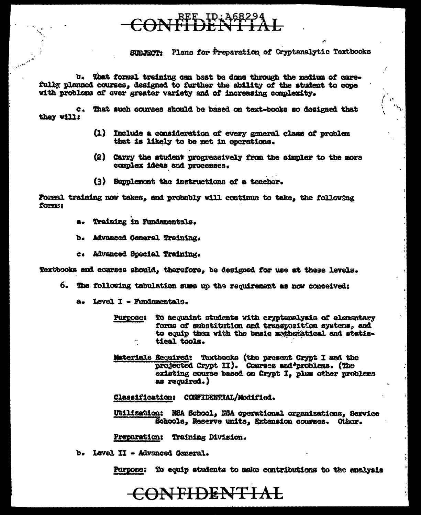## CONFLUENTIAL

SUBJECT: Plans for Preparation of Cryptanalytic Textbooks

b. That formal training can best be done through the medium of carefully planned courses, designed to further the ability of the student to cope with problems of ever greater variety and of increasing complexity.

c. That such courses should be based on text-books so designed that they will:

- (1) Include a consideration of every general class of problem that is likely to be met in operations.
- (2) Carry the student progressively from the simpler to the more complex ideas and processes.
- (3) Supplement the instructions of a teacher.

Formal training now takes, and probably will continue to take, the following forms:

- e. Training in Fundamentals.
- b. Advanced General Training.
- c. Advanced Special Training.

Textbooks and courses should, therefore, be designed for use at these levels.

- 6. The following tabulation sums up the requirement as now conceived:
	- a. Level I Fundamentals.
		- To acquaint students with cryptenalysis of elementary **Purpose:** forms of substitution and transposition systems, and to equip them with the basic motheratical and statistical tools.
		- Materials Required: Textbooks (the present Crypt I and the projected Crypt II). Courses and problems. (The existing course based on Crypt I, plus other problems as required.)

Classification: CONFIDENTIAL/Modified.

Utilization: NEA School, NEA operational organizations, Service Schools, Reserve units, Extension courses. Other.

Preparation: Training Division.

b. Level II - Advanced General.

Purpose: To equip students to make contributions to the analysis

## CONFIDENTIAL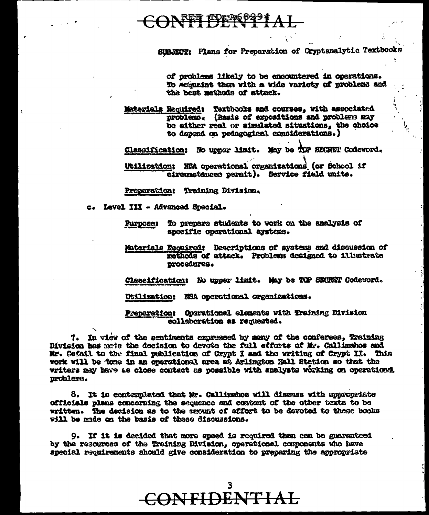## CONFFIFEFS<sup>8224</sup>AL

SUBJECT: Plans for Preparation of Cryptanalytic Textbooks

of problems likely to be encountered in operations. To sequeint them with a wide variety of problems and the best methods of attack.

Materials Required: Textbooks and courses, with associated<br>problems. (Basis of expositions and problems may be either real or simulated situations, the choice to depend on pedagogical considerations.)

Classification: No upper limit. May be TOP SECRET Codeword.

Utilization: NSA operational organizations (or School if circumstances permit). Service field units.

Preparation: Training Division.

c. Level III - Advanced Special.

- Purpose: To prepare students to work on the analysis of specific operational aystems.
- Materials Required: Descriptions of systems and discussion of methods of attack. Problems designed to illustrate procedures.

Classification: No upper limit. May be TOP SECRET Codeword.

Utilization: NSA operational organizations.

Preparation: Operational elements with Training Division collaboration as requested.

7. In view of the sentiments expressed by many of the conferees, Training Division has made the decision to devote the full efforts of Mr. Callimahos and Mr. Cefail to the final publication of Crypt I and the writing of Crypt II. This work will be fore in an operational area at Arlington Hall Stetion so that the writers may have as close contact as possible with analysts working on operations. problems.

8. It is contemplated that Mr. Callimahos will discuss with appropriate officials plans concerning the sequence and content of the other texts to be written. The decision as to the amount of effort to be devoted to these books will be made on the basis of these discussions.

9. If it is decided that more speed is required than can be guaranteed by the resources of the Training Division, operational components who have special requirements should give consideration to preparing the appropriate

CONFIDENTIAL